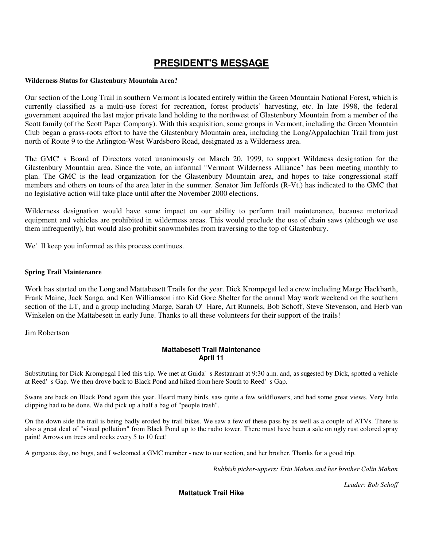## **PRESIDENT'S MESSAGE**

#### **Wilderness Status for Glastenbury Mountain Area?**

Our section of the Long Trail in southern Vermont is located entirely within the Green Mountain National Forest, which is currently classified as a multi-use forest for recreation, forest products' harvesting, etc. In late 1998, the federal government acquired the last major private land holding to the northwest of Glastenbury Mountain from a member of the Scott family (of the Scott Paper Company). With this acquisition, some groups in Vermont, including the Green Mountain Club began a grass-roots effort to have the Glastenbury Mountain area, including the Long/Appalachian Trail from just north of Route 9 to the Arlington-West Wardsboro Road, designated as a Wilderness area.

The GMC's Board of Directors voted unanimously on March 20, 1999, to support Wildenress designation for the Glastenbury Mountain area. Since the vote, an informal "Vermont Wilderness Alliance" has been meeting monthly to plan. The GMC is the lead organization for the Glastenbury Mountain area, and hopes to take congressional staff members and others on tours of the area later in the summer. Senator Jim Jeffords (R-Vt.) has indicated to the GMC that no legislative action will take place until after the November 2000 elections.

Wilderness designation would have some impact on our ability to perform trail maintenance, because motorized equipment and vehicles are prohibited in wilderness areas. This would preclude the use of chain saws (although we use them infrequently), but would also prohibit snowmobiles from traversing to the top of Glastenbury.

We'll keep you informed as this process continues.

#### **Spring Trail Maintenance**

Work has started on the Long and Mattabesett Trails for the year. Dick Krompegal led a crew including Marge Hackbarth, Frank Maine, Jack Sanga, and Ken Williamson into Kid Gore Shelter for the annual May work weekend on the southern section of the LT, and a group including Marge, Sarah O'Hare, Art Runnels, Bob Schoff, Steve Stevenson, and Herb van Winkelen on the Mattabesett in early June. Thanks to all these volunteers for their support of the trails!

Jim Robertson

#### **Mattabesett Trail Maintenance April 11**

Substituting for Dick Krompegal I led this trip. We met at Guida's Restaurant at 9:30 a.m. and, as suggested by Dick, spotted a vehicle at Reed's Gap. We then drove back to Black Pond and hiked from here South to Reed's Gap.

Swans are back on Black Pond again this year. Heard many birds, saw quite a few wildflowers, and had some great views. Very little clipping had to be done. We did pick up a half a bag of "people trash".

On the down side the trail is being badly eroded by trail bikes. We saw a few of these pass by as well as a couple of ATVs. There is also a great deal of "visual pollution" from Black Pond up to the radio tower. There must have been a sale on ugly rust colored spray paint! Arrows on trees and rocks every 5 to 10 feet!

A gorgeous day, no bugs, and I welcomed a GMC member - new to our section, and her brother. Thanks for a good trip.

*Rubbish picker-uppers: Erin Mahon and her brother Colin Mahon*

*Leader: Bob Schoff*

**Mattatuck Trail Hike**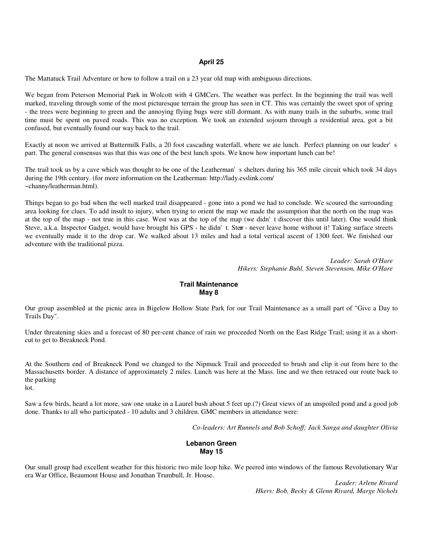#### **April 25**

The Mattatuck Trail Adventure or how to follow a trail on a 23 year old map with ambiguous directions.

We began from Peterson Memorial Park in Wolcott with 4 GMCers. The weather was perfect. In the beginning the trail was well marked, traveling through some of the most picturesque terrain the group has seen in CT. This was certainly the sweet spot of spring - the trees were beginning to green and the annoying flying bugs were still dormant. As with many trails in the suburbs, some trail time must be spent on paved roads. This was no exception. We took an extended sojourn through a residential area, got a bit confused, but eventually found our way back to the trail.

Exactly at noon we arrived at Buttermilk Falls, a 20 foot cascading waterfall, where we ate lunch. Perfect planning on our leader's part. The general consensus was that this was one of the best lunch spots. We know how important lunch can be!

The trail took us by a cave which was thought to be one of the Leatherman's shelters during his 365 mile circuit which took 34 days during the 19th century. (for more information on the Leatherman: http://lady.esslink.com/ ~channy/leatherman.html).

Things began to go bad when the well marked trail disappeared - gone into a pond we had to conclude. We scoured the surrounding area looking for clues. To add insult to injury, when trying to orient the map we made the assumption that the north on the map was at the top of the map - not true in this case. West was at the top of the map (we didn't discover this until later). One would think Steve, a.k.a. Inspector Gadget, would have brought his GPS - he didn't. Stee - never leave home without it! Taking surface streets we eventually made it to the drop car. We walked about 13 miles and had a total vertical ascent of 1300 feet. We finished our adventure with the traditional pizza.

> *Leader: Sarah O'Hare Hikers: Stephanie Buhl, Steven Stevenson, Mike O'Hare*

#### **Trail Maintenance May 8**

Our group assembled at the picnic area in Bigelow Hollow State Park for our Trail Maintenance as a small part of "Give a Day to Trails Day".

Under threatening skies and a forecast of 80 per-cent chance of rain we proceeded North on the East Ridge Trail; using it as a shortcut to get to Breakneck Pond.

At the Southern end of Breakneck Pond we changed to the Nipmuck Trail and proceeded to brush and clip it out from here to the Massachusetts border. A distance of approximately 2 miles. Lunch was here at the Mass. line and we then retraced our route back to the parking lot.

Saw a few birds, heard a lot more, saw one snake in a Laurel bush about 5 feet up.(?) Great views of an unspoiled pond and a good job done. Thanks to all who participated - 10 adults and 3 children. GMC members in attendance were:

*Co-leaders: Art Runnels and Bob Schoff; Jack Sanga and daughter Olivia*

#### **Lebanon Green May 15**

Our small group had excellent weather for this historic two mile loop hike. We peered into windows of the famous Revolutionary War era War Office, Beaumont House and Jonathan Trumbull, Jr. House.

> *Leader: Arlene Rivard Hkers: Bob, Becky & Glenn Rivard, Marge Nichols*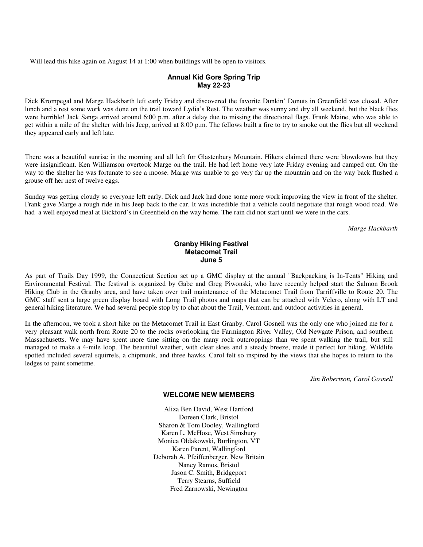Will lead this hike again on August 14 at 1:00 when buildings will be open to visitors.

#### **Annual Kid Gore Spring Trip May 22-23**

Dick Krompegal and Marge Hackbarth left early Friday and discovered the favorite Dunkin' Donuts in Greenfield was closed. After lunch and a rest some work was done on the trail toward Lydia's Rest. The weather was sunny and dry all weekend, but the black flies were horrible! Jack Sanga arrived around 6:00 p.m. after a delay due to missing the directional flags. Frank Maine, who was able to get within a mile of the shelter with his Jeep, arrived at 8:00 p.m. The fellows built a fire to try to smoke out the flies but all weekend they appeared early and left late.

There was a beautiful sunrise in the morning and all left for Glastenbury Mountain. Hikers claimed there were blowdowns but they were insignificant. Ken Williamson overtook Marge on the trail. He had left home very late Friday evening and camped out. On the way to the shelter he was fortunate to see a moose. Marge was unable to go very far up the mountain and on the way back flushed a grouse off her nest of twelve eggs.

Sunday was getting cloudy so everyone left early. Dick and Jack had done some more work improving the view in front of the shelter. Frank gave Marge a rough ride in his Jeep back to the car. It was incredible that a vehicle could negotiate that rough wood road. We had a well enjoyed meal at Bickford's in Greenfield on the way home. The rain did not start until we were in the cars.

*Marge Hackbarth*

#### **Granby Hiking Festival Metacomet Trail June 5**

As part of Trails Day 1999, the Connecticut Section set up a GMC display at the annual "Backpacking is In-Tents" Hiking and Environmental Festival. The festival is organized by Gabe and Greg Piwonski, who have recently helped start the Salmon Brook Hiking Club in the Granby area, and have taken over trail maintenance of the Metacomet Trail from Tarriffville to Route 20. The GMC staff sent a large green display board with Long Trail photos and maps that can be attached with Velcro, along with LT and general hiking literature. We had several people stop by to chat about the Trail, Vermont, and outdoor activities in general.

In the afternoon, we took a short hike on the Metacomet Trail in East Granby. Carol Gosnell was the only one who joined me for a very pleasant walk north from Route 20 to the rocks overlooking the Farmington River Valley, Old Newgate Prison, and southern Massachusetts. We may have spent more time sitting on the many rock outcroppings than we spent walking the trail, but still managed to make a 4-mile loop. The beautiful weather, with clear skies and a steady breeze, made it perfect for hiking. Wildlife spotted included several squirrels, a chipmunk, and three hawks. Carol felt so inspired by the views that she hopes to return to the ledges to paint sometime.

*Jim Robertson, Carol Gosnell*

#### **WELCOME NEW MEMBERS**

Aliza Ben David, West Hartford Doreen Clark, Bristol Sharon & Tom Dooley, Wallingford Karen L. McHose, West Simsbury Monica Oldakowski, Burlington, VT Karen Parent, Wallingford Deborah A. Pfeiffenberger, New Britain Nancy Ramos, Bristol Jason C. Smith, Bridgeport Terry Stearns, Suffield Fred Zarnowski, Newington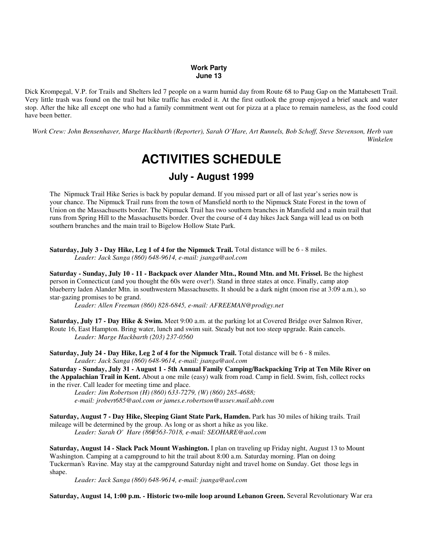#### **Work Party June 13**

Dick Krompegal, V.P. for Trails and Shelters led 7 people on a warm humid day from Route 68 to Paug Gap on the Mattabesett Trail. Very little trash was found on the trail but bike traffic has eroded it. At the first outlook the group enjoyed a brief snack and water stop. After the hike all except one who had a family commitment went out for pizza at a place to remain nameless, as the food could have been better.

*Work Crew: John Bensenhaver, Marge Hackbarth (Reporter), Sarah O'Hare, Art Runnels, Bob Schoff, Steve Stevenson, Herb van Winkelen*

# **ACTIVITIES SCHEDULE**

### **July - August 1999**

The Nipmuck Trail Hike Series is back by popular demand. If you missed part or all of last year's series now is your chance. The Nipmuck Trail runs from the town of Mansfield north to the Nipmuck State Forest in the town of Union on the Massachusetts border. The Nipmuck Trail has two southern branches in Mansfield and a main trail that runs from Spring Hill to the Massachusetts border. Over the course of 4 day hikes Jack Sanga will lead us on both southern branches and the main trail to Bigelow Hollow State Park.

**Saturday, July 3 - Day Hike, Leg 1 of 4 for the Nipmuck Trail.** Total distance will be 6 - 8 miles. *Leader: Jack Sanga (860) 648-9614, e-mail: jsanga@aol.com*

**Saturday - Sunday, July 10 - 11 - Backpack over Alander Mtn., Round Mtn. and Mt. Frissel.** Be the highest person in Connecticut (and you thought the 60s were over!). Stand in three states at once. Finally, camp atop blueberry laden Alander Mtn. in southwestern Massachusetts. It should be a dark night (moon rise at 3:09 a.m.), so star-gazing promises to be grand.

*Leader: Allen Freeman (860) 828-6845, e-mail: AFREEMAN@prodigy.net*

**Saturday, July 17 - Day Hike & Swim.** Meet 9:00 a.m. at the parking lot at Covered Bridge over Salmon River, Route 16, East Hampton. Bring water, lunch and swim suit. Steady but not too steep upgrade. Rain cancels. *Leader: Marge Hackbarth (203) 237-0560*

**Saturday, July 24 - Day Hike, Leg 2 of 4 for the Nipmuck Trail.** Total distance will be 6 - 8 miles. *Leader: Jack Sanga (860) 648-9614, e-mail: jsanga@aol.com*

**Saturday - Sunday, July 31 - August 1 - 5th Annual Family Camping/Backpacking Trip at Ten Mile River on the Appalachian Trail in Kent.** About a one mile (easy) walk from road. Camp in field. Swim, fish, collect rocks in the river. Call leader for meeting time and place.

*Leader: Jim Robertson (H) (860) 633-7279, (W) (860) 285-4688; e-mail: jrobert685@aol.com or james.e.robertson@ussev.mail.abb.com*

**Saturday, August 7 - Day Hike, Sleeping Giant State Park, Hamden.** Park has 30 miles of hiking trails. Trail mileage will be determined by the group. As long or as short a hike as you like. *Leader: Sarah O'Hare (860) 563-7018, e-mail: SEOHARE@aol.com*

**Saturday, August 14 - Slack Pack Mount Washington.** I plan on traveling up Friday night, August 13 to Mount Washington. Camping at a campground to hit the trail about 8:00 a.m. Saturday morning. Plan on doing Tuckerman's Ravine. May stay at the campground Saturday night and travel home on Sunday. Get those legs in shape.

*Leader: Jack Sanga (860) 648-9614, e-mail: jsanga@aol.com*

**Saturday, August 14, 1:00 p.m. - Historic two-mile loop around Lebanon Green.** Several Revolutionary War era